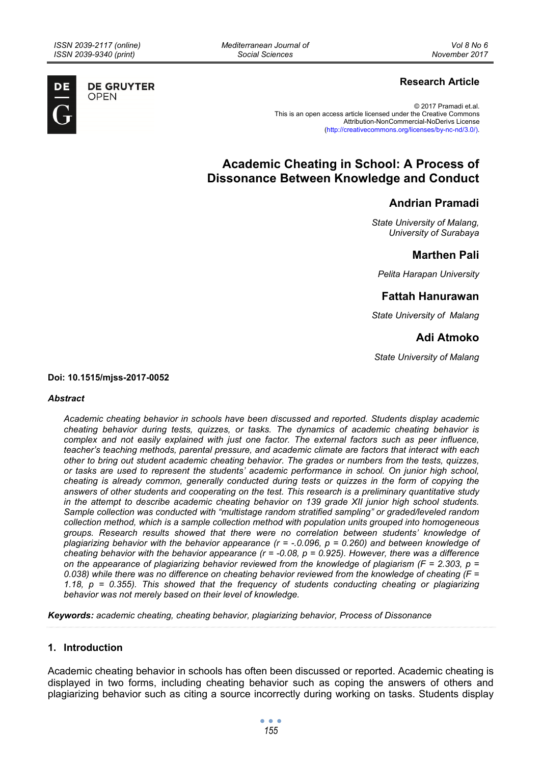**DE GRUYTER OPEN** 

*Mediterranean Journal of Social Sciences* 

# **Research Article**

© 2017 Pramadi et.al. This is an open access article licensed under the Creative Commons Attribution-NonCommercial-NoDerivs License (http://creativecommons.org/licenses/by-nc-nd/3.0/).

# **Academic Cheating in School: A Process of Dissonance Between Knowledge and Conduct**

# **Andrian Pramadi**

*State University of Malang, University of Surabaya* 

# **Marthen Pali**

*Pelita Harapan University* 

# **Fattah Hanurawan**

*State University of Malang* 

# **Adi Atmoko**

*State University of Malang* 

**Doi: 10.1515/mjss-2017-0052** 

#### *Abstract*

*Academic cheating behavior in schools have been discussed and reported. Students display academic cheating behavior during tests, quizzes, or tasks. The dynamics of academic cheating behavior is complex and not easily explained with just one factor. The external factors such as peer influence, teacher's teaching methods, parental pressure, and academic climate are factors that interact with each other to bring out student academic cheating behavior. The grades or numbers from the tests, quizzes, or tasks are used to represent the students' academic performance in school. On junior high school, cheating is already common, generally conducted during tests or quizzes in the form of copying the answers of other students and cooperating on the test. This research is a preliminary quantitative study in the attempt to describe academic cheating behavior on 139 grade XII junior high school students. Sample collection was conducted with "multistage random stratified sampling" or graded/leveled random collection method, which is a sample collection method with population units grouped into homogeneous groups. Research results showed that there were no correlation between students' knowledge of plagiarizing behavior with the behavior appearance (r = -.0.096, p = 0.260) and between knowledge of cheating behavior with the behavior appearance (r = -0.08, p = 0.925). However, there was a difference on the appearance of plagiarizing behavior reviewed from the knowledge of plagiarism (F = 2.303, p = 0.038) while there was no difference on cheating behavior reviewed from the knowledge of cheating (F = 1.18, p = 0.355). This showed that the frequency of students conducting cheating or plagiarizing behavior was not merely based on their level of knowledge.* 

*Keywords: academic cheating, cheating behavior, plagiarizing behavior, Process of Dissonance* 

# **1. Introduction**

Academic cheating behavior in schools has often been discussed or reported. Academic cheating is displayed in two forms, including cheating behavior such as coping the answers of others and plagiarizing behavior such as citing a source incorrectly during working on tasks. Students display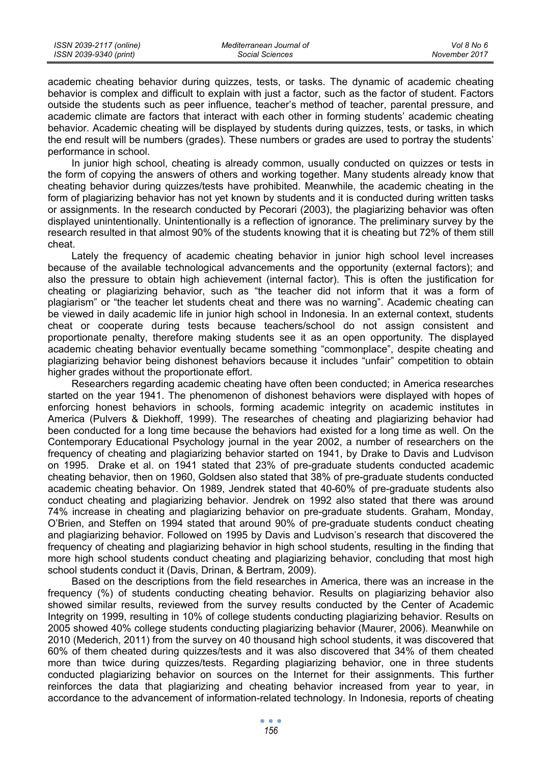academic cheating behavior during quizzes, tests, or tasks. The dynamic of academic cheating behavior is complex and difficult to explain with just a factor, such as the factor of student. Factors outside the students such as peer influence, teacher's method of teacher, parental pressure, and academic climate are factors that interact with each other in forming students' academic cheating behavior. Academic cheating will be displayed by students during quizzes, tests, or tasks, in which the end result will be numbers (grades). These numbers or grades are used to portray the students' performance in school.

In junior high school, cheating is already common, usually conducted on quizzes or tests in the form of copying the answers of others and working together. Many students already know that cheating behavior during quizzes/tests have prohibited. Meanwhile, the academic cheating in the form of plagiarizing behavior has not yet known by students and it is conducted during written tasks or assignments. In the research conducted by Pecorari (2003), the plagiarizing behavior was often displayed unintentionally. Unintentionally is a reflection of ignorance. The preliminary survey by the research resulted in that almost 90% of the students knowing that it is cheating but 72% of them still cheat.

Lately the frequency of academic cheating behavior in junior high school level increases because of the available technological advancements and the opportunity (external factors); and also the pressure to obtain high achievement (internal factor). This is often the justification for cheating or plagiarizing behavior, such as "the teacher did not inform that it was a form of plagiarism" or "the teacher let students cheat and there was no warning". Academic cheating can be viewed in daily academic life in junior high school in Indonesia. In an external context, students cheat or cooperate during tests because teachers/school do not assign consistent and proportionate penalty, therefore making students see it as an open opportunity. The displayed academic cheating behavior eventually became something "commonplace", despite cheating and plagiarizing behavior being dishonest behaviors because it includes "unfair" competition to obtain higher grades without the proportionate effort.

Researchers regarding academic cheating have often been conducted; in America researches started on the year 1941. The phenomenon of dishonest behaviors were displayed with hopes of enforcing honest behaviors in schools, forming academic integrity on academic institutes in America (Pulvers & Diekhoff, 1999). The researches of cheating and plagiarizing behavior had been conducted for a long time because the behaviors had existed for a long time as well. On the Contemporary Educational Psychology journal in the year 2002, a number of researchers on the frequency of cheating and plagiarizing behavior started on 1941, by Drake to Davis and Ludvison on 1995. Drake et al. on 1941 stated that 23% of pre-graduate students conducted academic cheating behavior, then on 1960, Goldsen also stated that 38% of pre-graduate students conducted academic cheating behavior. On 1989, Jendrek stated that 40-60% of pre-graduate students also conduct cheating and plagiarizing behavior. Jendrek on 1992 also stated that there was around 74% increase in cheating and plagiarizing behavior on pre-graduate students. Graham, Monday, O'Brien, and Steffen on 1994 stated that around 90% of pre-graduate students conduct cheating and plagiarizing behavior. Followed on 1995 by Davis and Ludvison's research that discovered the frequency of cheating and plagiarizing behavior in high school students, resulting in the finding that more high school students conduct cheating and plagiarizing behavior, concluding that most high school students conduct it (Davis, Drinan, & Bertram, 2009).

Based on the descriptions from the field researches in America, there was an increase in the frequency (%) of students conducting cheating behavior. Results on plagiarizing behavior also showed similar results, reviewed from the survey results conducted by the Center of Academic Integrity on 1999, resulting in 10% of college students conducting plagiarizing behavior. Results on 2005 showed 40% college students conducting plagiarizing behavior (Maurer, 2006). Meanwhile on 2010 (Mederich, 2011) from the survey on 40 thousand high school students, it was discovered that 60% of them cheated during quizzes/tests and it was also discovered that 34% of them cheated more than twice during quizzes/tests. Regarding plagiarizing behavior, one in three students conducted plagiarizing behavior on sources on the Internet for their assignments. This further reinforces the data that plagiarizing and cheating behavior increased from year to year, in accordance to the advancement of information-related technology. In Indonesia, reports of cheating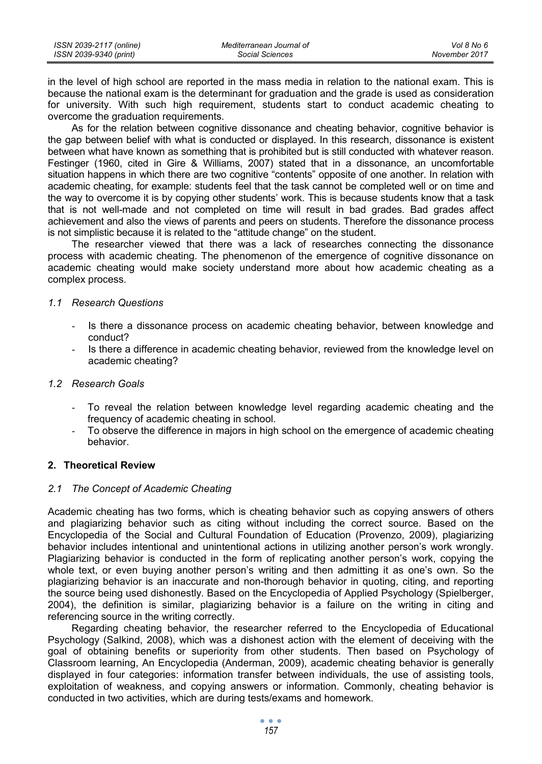| ISSN 2039-2117 (online) | Mediterranean Journal of | Vol 8 No 6    |
|-------------------------|--------------------------|---------------|
| ISSN 2039-9340 (print)  | Social Sciences          | November 2017 |

in the level of high school are reported in the mass media in relation to the national exam. This is because the national exam is the determinant for graduation and the grade is used as consideration for university. With such high requirement, students start to conduct academic cheating to overcome the graduation requirements.

As for the relation between cognitive dissonance and cheating behavior, cognitive behavior is the gap between belief with what is conducted or displayed. In this research, dissonance is existent between what have known as something that is prohibited but is still conducted with whatever reason. Festinger (1960, cited in Gire & Williams, 2007) stated that in a dissonance, an uncomfortable situation happens in which there are two cognitive "contents" opposite of one another. In relation with academic cheating, for example: students feel that the task cannot be completed well or on time and the way to overcome it is by copying other students' work. This is because students know that a task that is not well-made and not completed on time will result in bad grades. Bad grades affect achievement and also the views of parents and peers on students. Therefore the dissonance process is not simplistic because it is related to the "attitude change" on the student.

The researcher viewed that there was a lack of researches connecting the dissonance process with academic cheating. The phenomenon of the emergence of cognitive dissonance on academic cheating would make society understand more about how academic cheating as a complex process.

# *1.1 Research Questions*

- Is there a dissonance process on academic cheating behavior, between knowledge and conduct?
- Is there a difference in academic cheating behavior, reviewed from the knowledge level on academic cheating?

## *1.2 Research Goals*

- To reveal the relation between knowledge level regarding academic cheating and the frequency of academic cheating in school.
- To observe the difference in majors in high school on the emergence of academic cheating behavior.

# **2. Theoretical Review**

# *2.1 The Concept of Academic Cheating*

Academic cheating has two forms, which is cheating behavior such as copying answers of others and plagiarizing behavior such as citing without including the correct source. Based on the Encyclopedia of the Social and Cultural Foundation of Education (Provenzo, 2009), plagiarizing behavior includes intentional and unintentional actions in utilizing another person's work wrongly. Plagiarizing behavior is conducted in the form of replicating another person's work, copying the whole text, or even buying another person's writing and then admitting it as one's own. So the plagiarizing behavior is an inaccurate and non-thorough behavior in quoting, citing, and reporting the source being used dishonestly. Based on the Encyclopedia of Applied Psychology (Spielberger, 2004), the definition is similar, plagiarizing behavior is a failure on the writing in citing and referencing source in the writing correctly.

Regarding cheating behavior, the researcher referred to the Encyclopedia of Educational Psychology (Salkind, 2008), which was a dishonest action with the element of deceiving with the goal of obtaining benefits or superiority from other students. Then based on Psychology of Classroom learning, An Encyclopedia (Anderman, 2009), academic cheating behavior is generally displayed in four categories: information transfer between individuals, the use of assisting tools, exploitation of weakness, and copying answers or information. Commonly, cheating behavior is conducted in two activities, which are during tests/exams and homework.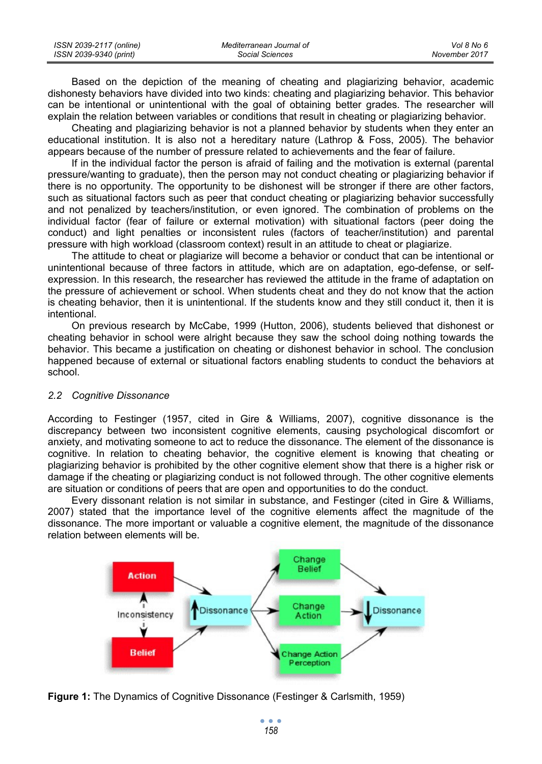| ISSN 2039-2117 (online) | Mediterranean Journal of | Vol 8 No 6    |
|-------------------------|--------------------------|---------------|
| ISSN 2039-9340 (print)  | Social Sciences          | November 2017 |

Based on the depiction of the meaning of cheating and plagiarizing behavior, academic dishonesty behaviors have divided into two kinds: cheating and plagiarizing behavior. This behavior can be intentional or unintentional with the goal of obtaining better grades. The researcher will explain the relation between variables or conditions that result in cheating or plagiarizing behavior.

Cheating and plagiarizing behavior is not a planned behavior by students when they enter an educational institution. It is also not a hereditary nature (Lathrop & Foss, 2005). The behavior appears because of the number of pressure related to achievements and the fear of failure.

If in the individual factor the person is afraid of failing and the motivation is external (parental pressure/wanting to graduate), then the person may not conduct cheating or plagiarizing behavior if there is no opportunity. The opportunity to be dishonest will be stronger if there are other factors, such as situational factors such as peer that conduct cheating or plagiarizing behavior successfully and not penalized by teachers/institution, or even ignored. The combination of problems on the individual factor (fear of failure or external motivation) with situational factors (peer doing the conduct) and light penalties or inconsistent rules (factors of teacher/institution) and parental pressure with high workload (classroom context) result in an attitude to cheat or plagiarize.

The attitude to cheat or plagiarize will become a behavior or conduct that can be intentional or unintentional because of three factors in attitude, which are on adaptation, ego-defense, or selfexpression. In this research, the researcher has reviewed the attitude in the frame of adaptation on the pressure of achievement or school. When students cheat and they do not know that the action is cheating behavior, then it is unintentional. If the students know and they still conduct it, then it is intentional.

On previous research by McCabe, 1999 (Hutton, 2006), students believed that dishonest or cheating behavior in school were alright because they saw the school doing nothing towards the behavior. This became a justification on cheating or dishonest behavior in school. The conclusion happened because of external or situational factors enabling students to conduct the behaviors at school.

#### *2.2 Cognitive Dissonance*

According to Festinger (1957, cited in Gire & Williams, 2007), cognitive dissonance is the discrepancy between two inconsistent cognitive elements, causing psychological discomfort or anxiety, and motivating someone to act to reduce the dissonance. The element of the dissonance is cognitive. In relation to cheating behavior, the cognitive element is knowing that cheating or plagiarizing behavior is prohibited by the other cognitive element show that there is a higher risk or damage if the cheating or plagiarizing conduct is not followed through. The other cognitive elements are situation or conditions of peers that are open and opportunities to do the conduct.

Every dissonant relation is not similar in substance, and Festinger (cited in Gire & Williams, 2007) stated that the importance level of the cognitive elements affect the magnitude of the dissonance. The more important or valuable a cognitive element, the magnitude of the dissonance relation between elements will be.



**Figure 1:** The Dynamics of Cognitive Dissonance (Festinger & Carlsmith, 1959)

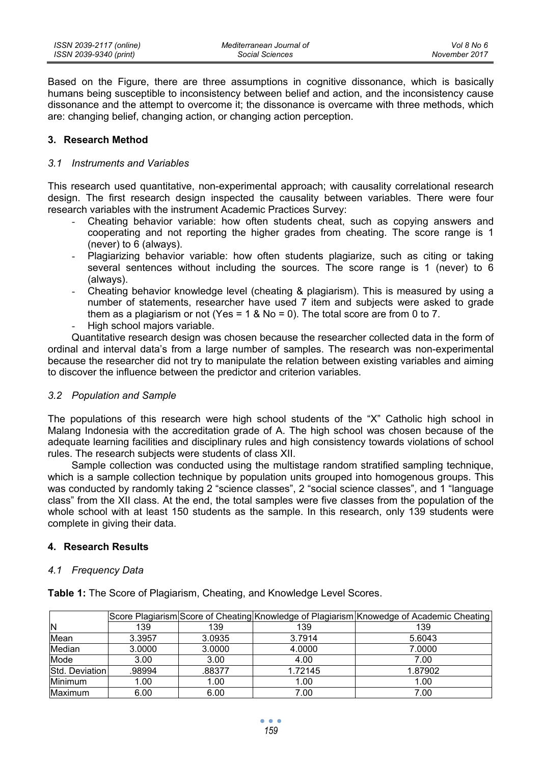Based on the Figure, there are three assumptions in cognitive dissonance, which is basically humans being susceptible to inconsistency between belief and action, and the inconsistency cause dissonance and the attempt to overcome it; the dissonance is overcame with three methods, which are: changing belief, changing action, or changing action perception.

## **3. Research Method**

### *3.1 Instruments and Variables*

This research used quantitative, non-experimental approach; with causality correlational research design. The first research design inspected the causality between variables. There were four research variables with the instrument Academic Practices Survey:

- Cheating behavior variable: how often students cheat, such as copying answers and cooperating and not reporting the higher grades from cheating. The score range is 1 (never) to 6 (always).
- Plagiarizing behavior variable: how often students plagiarize, such as citing or taking several sentences without including the sources. The score range is 1 (never) to 6 (always).
- Cheating behavior knowledge level (cheating & plagiarism). This is measured by using a number of statements, researcher have used 7 item and subjects were asked to grade them as a plagiarism or not (Yes =  $1 \&$  No = 0). The total score are from 0 to 7.
- High school majors variable.

Quantitative research design was chosen because the researcher collected data in the form of ordinal and interval data's from a large number of samples. The research was non-experimental because the researcher did not try to manipulate the relation between existing variables and aiming to discover the influence between the predictor and criterion variables.

# *3.2 Population and Sample*

The populations of this research were high school students of the "X" Catholic high school in Malang Indonesia with the accreditation grade of A. The high school was chosen because of the adequate learning facilities and disciplinary rules and high consistency towards violations of school rules. The research subjects were students of class XII.

Sample collection was conducted using the multistage random stratified sampling technique, which is a sample collection technique by population units grouped into homogenous groups. This was conducted by randomly taking 2 "science classes", 2 "social science classes", and 1 "language class" from the XII class. At the end, the total samples were five classes from the population of the whole school with at least 150 students as the sample. In this research, only 139 students were complete in giving their data.

# **4. Research Results**

#### *4.1 Frequency Data*

**Table 1:** The Score of Plagiarism, Cheating, and Knowledge Level Scores.

|                |        |        |         | Score Plagiarism Score of Cheating Knowledge of Plagiarism Knowedge of Academic Cheating |
|----------------|--------|--------|---------|------------------------------------------------------------------------------------------|
| IN             | 139    | 139    | 139     | 139                                                                                      |
| Mean           | 3.3957 | 3.0935 | 3.7914  | 5.6043                                                                                   |
| Median         | 3.0000 | 3.0000 | 4.0000  | 7.0000                                                                                   |
| Mode           | 3.00   | 3.00   | 4.00    | 7.00                                                                                     |
| Std. Deviation | .98994 | .88377 | 1.72145 | 1.87902                                                                                  |
| <b>Minimum</b> | 1.00   | 1.00   | 1.00    | 1.00                                                                                     |
| Maximum        | 6.00   | 6.00   | 7.00    | 7.00                                                                                     |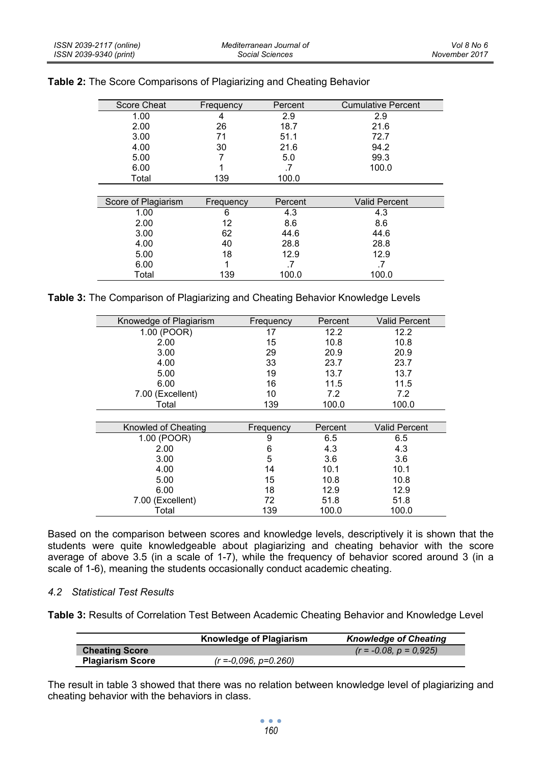| Score Cheat         | Frequency | Percent | <b>Cumulative Percent</b> |
|---------------------|-----------|---------|---------------------------|
| 1.00                | 4         | 2.9     | 2.9                       |
| 2.00                | 26        | 18.7    | 21.6                      |
| 3.00                | 71        | 51.1    | 72.7                      |
| 4.00                | 30        | 21.6    | 94.2                      |
| 5.00                |           | 5.0     | 99.3                      |
| 6.00                |           | .7      | 100.0                     |
| Total               | 139       | 100.0   |                           |
|                     |           |         |                           |
|                     |           |         |                           |
| Score of Plagiarism | Frequency | Percent | <b>Valid Percent</b>      |
| 1.00                | 6         | 4.3     | 4.3                       |
| 2.00                | 12        | 8.6     | 8.6                       |
| 3.00                | 62        | 44.6    | 44.6                      |
| 4.00                | 40        | 28.8    | 28.8                      |
| 5.00                | 18        | 12.9    | 12.9                      |
| 6.00                | 1         | .7      | .7                        |

# **Table 2:** The Score Comparisons of Plagiarizing and Cheating Behavior

|  | <b>Table 3:</b> The Comparison of Plagiarizing and Cheating Behavior Knowledge Levels |  |  |  |
|--|---------------------------------------------------------------------------------------|--|--|--|

| Knowedge of Plagiarism | Frequency | Percent | <b>Valid Percent</b> |
|------------------------|-----------|---------|----------------------|
| 1.00 (POOR)            | 17        | 12.2    | 12.2                 |
| 2.00                   | 15        | 10.8    | 10.8                 |
| 3.00                   | 29        | 20.9    | 20.9                 |
| 4.00                   | 33        | 23.7    | 23.7                 |
| 5.00                   | 19        | 13.7    | 13.7                 |
| 6.00                   | 16        | 11.5    | 11.5                 |
| 7.00 (Excellent)       | 10        | 7.2     | 7.2                  |
| Total                  | 139       | 100.0   | 100.0                |
|                        |           |         |                      |
| Knowled of Cheating    | Frequency | Percent | <b>Valid Percent</b> |
| 1.00 (POOR)            | 9         | 6.5     | 6.5                  |
| 2.00                   | 6         | 4.3     | 4.3                  |
| 3.00                   | 5         | 3.6     | 3.6                  |
| 4.00                   | 14        | 10.1    | 10.1                 |
| 5.00                   | 15        | 10.8    | 10.8                 |
| 6.00                   | 18        | 12.9    | 12.9                 |
| 7.00 (Excellent)       | 72        | 51.8    | 51.8                 |
| Total                  | 139       | 100.0   | 100.0                |

Based on the comparison between scores and knowledge levels, descriptively it is shown that the students were quite knowledgeable about plagiarizing and cheating behavior with the score average of above 3.5 (in a scale of 1-7), while the frequency of behavior scored around 3 (in a scale of 1-6), meaning the students occasionally conduct academic cheating.

# *4.2 Statistical Test Results*

**Table 3:** Results of Correlation Test Between Academic Cheating Behavior and Knowledge Level

|                         | <b>Knowledge of Plagiarism</b> | <b>Knowledge of Cheating</b> |
|-------------------------|--------------------------------|------------------------------|
| <b>Cheating Score</b>   |                                | $(r = -0.08, p = 0.925)$     |
| <b>Plagiarism Score</b> | $(r = -0.096, p = 0.260)$      |                              |

The result in table 3 showed that there was no relation between knowledge level of plagiarizing and cheating behavior with the behaviors in class.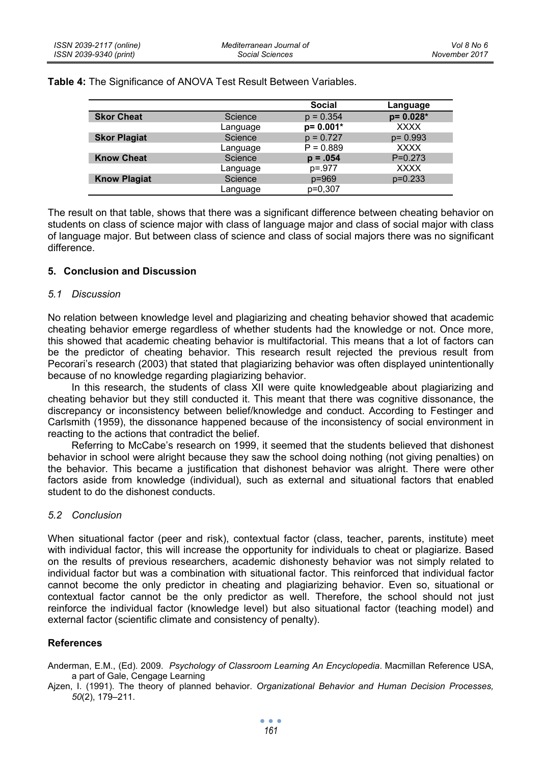|  |  | Table 4: The Significance of ANOVA Test Result Between Variables. |  |  |  |  |
|--|--|-------------------------------------------------------------------|--|--|--|--|
|--|--|-------------------------------------------------------------------|--|--|--|--|

|                     |          | <b>Social</b> | Language     |
|---------------------|----------|---------------|--------------|
| <b>Skor Cheat</b>   | Science  | $p = 0.354$   | $p = 0.028*$ |
|                     | Language | $p = 0.001*$  | <b>XXXX</b>  |
| <b>Skor Plagiat</b> | Science  | $p = 0.727$   | $p = 0.993$  |
|                     | Language | $P = 0.889$   | <b>XXXX</b>  |
| <b>Know Cheat</b>   | Science  | $p = .054$    | $P=0.273$    |
|                     | Language | $p = 977$     | <b>XXXX</b>  |
| <b>Know Plagiat</b> | Science  | $p = 969$     | $p=0.233$    |
|                     | Language | p=0,307       |              |

The result on that table, shows that there was a significant difference between cheating behavior on students on class of science major with class of language major and class of social major with class of language major. But between class of science and class of social majors there was no significant difference.

# **5. Conclusion and Discussion**

### *5.1 Discussion*

No relation between knowledge level and plagiarizing and cheating behavior showed that academic cheating behavior emerge regardless of whether students had the knowledge or not. Once more, this showed that academic cheating behavior is multifactorial. This means that a lot of factors can be the predictor of cheating behavior. This research result rejected the previous result from Pecorari's research (2003) that stated that plagiarizing behavior was often displayed unintentionally because of no knowledge regarding plagiarizing behavior.

In this research, the students of class XII were quite knowledgeable about plagiarizing and cheating behavior but they still conducted it. This meant that there was cognitive dissonance, the discrepancy or inconsistency between belief/knowledge and conduct. According to Festinger and Carlsmith (1959), the dissonance happened because of the inconsistency of social environment in reacting to the actions that contradict the belief.

Referring to McCabe's research on 1999, it seemed that the students believed that dishonest behavior in school were alright because they saw the school doing nothing (not giving penalties) on the behavior. This became a justification that dishonest behavior was alright. There were other factors aside from knowledge (individual), such as external and situational factors that enabled student to do the dishonest conducts.

# *5.2 Conclusion*

When situational factor (peer and risk), contextual factor (class, teacher, parents, institute) meet with individual factor, this will increase the opportunity for individuals to cheat or plagiarize. Based on the results of previous researchers, academic dishonesty behavior was not simply related to individual factor but was a combination with situational factor. This reinforced that individual factor cannot become the only predictor in cheating and plagiarizing behavior. Even so, situational or contextual factor cannot be the only predictor as well. Therefore, the school should not just reinforce the individual factor (knowledge level) but also situational factor (teaching model) and external factor (scientific climate and consistency of penalty).

# **References**

Anderman, E.M., (Ed). 2009. *Psychology of Classroom Learning An Encyclopedia*. Macmillan Reference USA, a part of Gale, Cengage Learning

Ajzen, I. (1991). The theory of planned behavior. *Organizational Behavior and Human Decision Processes, 50*(2), 179–211.